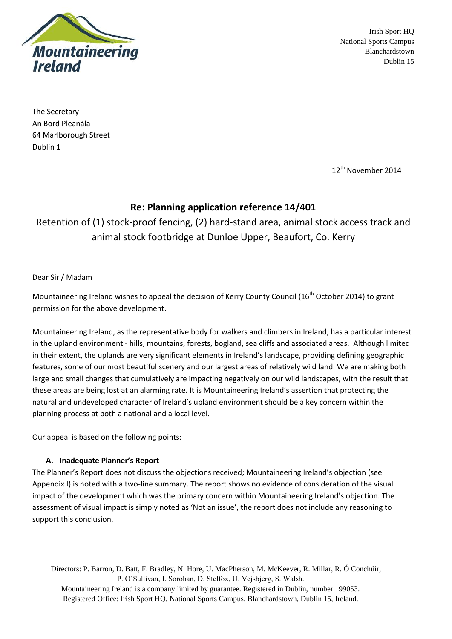

Irish Sport HQ National Sports Campus Blanchardstown Dublin 15

The Secretary An Bord Pleanála 64 Marlborough Street Dublin 1

12<sup>th</sup> November 2014

# **Re: Planning application reference 14/401**

Retention of (1) stock-proof fencing, (2) hard-stand area, animal stock access track and animal stock footbridge at Dunloe Upper, Beaufort, Co. Kerry

Dear Sir / Madam

Mountaineering Ireland wishes to appeal the decision of Kerry County Council (16<sup>th</sup> October 2014) to grant permission for the above development.

Mountaineering Ireland, as the representative body for walkers and climbers in Ireland, has a particular interest in the upland environment - hills, mountains, forests, bogland, sea cliffs and associated areas. Although limited in their extent, the uplands are very significant elements in Ireland's landscape, providing defining geographic features, some of our most beautiful scenery and our largest areas of relatively wild land. We are making both large and small changes that cumulatively are impacting negatively on our wild landscapes, with the result that these areas are being lost at an alarming rate. It is Mountaineering Ireland's assertion that protecting the natural and undeveloped character of Ireland's upland environment should be a key concern within the planning process at both a national and a local level.

Our appeal is based on the following points:

## **A. Inadequate Planner's Report**

The Planner's Report does not discuss the objections received; Mountaineering Ireland's objection (see Appendix I) is noted with a two-line summary. The report shows no evidence of consideration of the visual impact of the development which was the primary concern within Mountaineering Ireland's objection. The assessment of visual impact is simply noted as 'Not an issue', the report does not include any reasoning to support this conclusion.

Directors: P. Barron, D. Batt, F. Bradley, N. Hore, U. MacPherson, M. McKeever, R. Millar, R. Ó Conchúir, P. O'Sullivan, I. Sorohan, D. Stelfox, U. Vejsbjerg, S. Walsh. Mountaineering Ireland is a company limited by guarantee. Registered in Dublin, number 199053. Registered Office: Irish Sport HQ, National Sports Campus, Blanchardstown, Dublin 15, Ireland.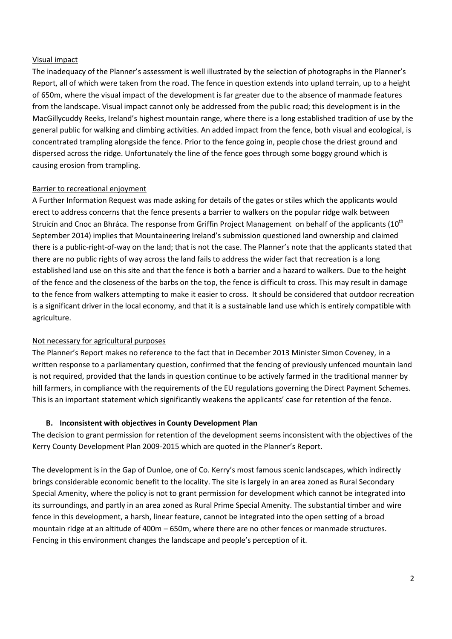### Visual impact

The inadequacy of the Planner's assessment is well illustrated by the selection of photographs in the Planner's Report, all of which were taken from the road. The fence in question extends into upland terrain, up to a height of 650m, where the visual impact of the development is far greater due to the absence of manmade features from the landscape. Visual impact cannot only be addressed from the public road; this development is in the MacGillycuddy Reeks, Ireland's highest mountain range, where there is a long established tradition of use by the general public for walking and climbing activities. An added impact from the fence, both visual and ecological, is concentrated trampling alongside the fence. Prior to the fence going in, people chose the driest ground and dispersed across the ridge. Unfortunately the line of the fence goes through some boggy ground which is causing erosion from trampling.

### Barrier to recreational enjoyment

A Further Information Request was made asking for details of the gates or stiles which the applicants would erect to address concerns that the fence presents a barrier to walkers on the popular ridge walk between Struicín and Cnoc an Bhráca. The response from Griffin Project Management on behalf of the applicants (10<sup>th</sup> September 2014) implies that Mountaineering Ireland's submission questioned land ownership and claimed there is a public-right-of-way on the land; that is not the case. The Planner's note that the applicants stated that there are no public rights of way across the land fails to address the wider fact that recreation is a long established land use on this site and that the fence is both a barrier and a hazard to walkers. Due to the height of the fence and the closeness of the barbs on the top, the fence is difficult to cross. This may result in damage to the fence from walkers attempting to make it easier to cross. It should be considered that outdoor recreation is a significant driver in the local economy, and that it is a sustainable land use which is entirely compatible with agriculture.

#### Not necessary for agricultural purposes

The Planner's Report makes no reference to the fact that in December 2013 Minister Simon Coveney, in a written response to a parliamentary question, confirmed that the fencing of previously unfenced mountain land is not required, provided that the lands in question continue to be actively farmed in the traditional manner by hill farmers, in compliance with the requirements of the EU regulations governing the Direct Payment Schemes. This is an important statement which significantly weakens the applicants' case for retention of the fence.

### **B. Inconsistent with objectives in County Development Plan**

The decision to grant permission for retention of the development seems inconsistent with the objectives of the Kerry County Development Plan 2009-2015 which are quoted in the Planner's Report.

The development is in the Gap of Dunloe, one of Co. Kerry's most famous scenic landscapes, which indirectly brings considerable economic benefit to the locality. The site is largely in an area zoned as Rural Secondary Special Amenity, where the policy is not to grant permission for development which cannot be integrated into its surroundings, and partly in an area zoned as Rural Prime Special Amenity. The substantial timber and wire fence in this development, a harsh, linear feature, cannot be integrated into the open setting of a broad mountain ridge at an altitude of 400m – 650m, where there are no other fences or manmade structures. Fencing in this environment changes the landscape and people's perception of it.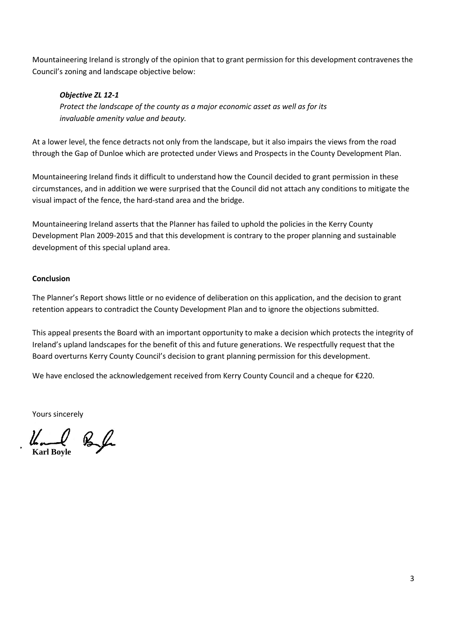Mountaineering Ireland is strongly of the opinion that to grant permission for this development contravenes the Council's zoning and landscape objective below:

## *Objective ZL 12-1*

*Protect the landscape of the county as a major economic asset as well as for its invaluable amenity value and beauty.*

At a lower level, the fence detracts not only from the landscape, but it also impairs the views from the road through the Gap of Dunloe which are protected under Views and Prospects in the County Development Plan.

Mountaineering Ireland finds it difficult to understand how the Council decided to grant permission in these circumstances, and in addition we were surprised that the Council did not attach any conditions to mitigate the visual impact of the fence, the hard-stand area and the bridge.

Mountaineering Ireland asserts that the Planner has failed to uphold the policies in the Kerry County Development Plan 2009-2015 and that this development is contrary to the proper planning and sustainable development of this special upland area.

## **Conclusion**

The Planner's Report shows little or no evidence of deliberation on this application, and the decision to grant retention appears to contradict the County Development Plan and to ignore the objections submitted.

This appeal presents the Board with an important opportunity to make a decision which protects the integrity of Ireland's upland landscapes for the benefit of this and future generations. We respectfully request that the Board overturns Kerry County Council's decision to grant planning permission for this development.

We have enclosed the acknowledgement received from Kerry County Council and a cheque for €220.

Yours sincerely

**Karl Boyle**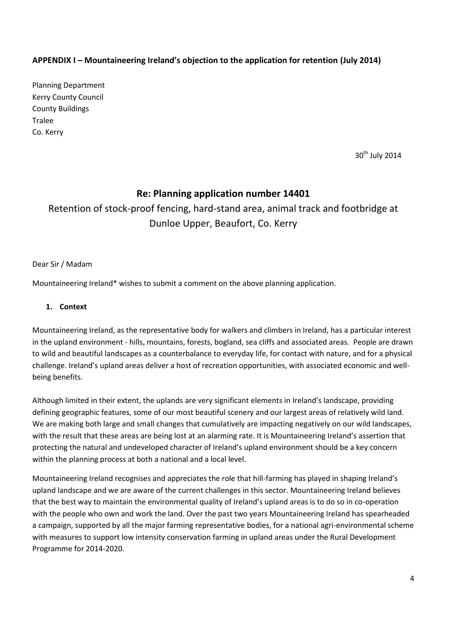# **APPENDIX I – Mountaineering Ireland's objection to the application for retention (July 2014)**

Planning Department Kerry County Council County Buildings Tralee Co. Kerry

30<sup>th</sup> July 2014

# **Re: Planning application number 14401**

# Retention of stock-proof fencing, hard-stand area, animal track and footbridge at Dunloe Upper, Beaufort, Co. Kerry

Dear Sir / Madam

Mountaineering Ireland\* wishes to submit a comment on the above planning application.

### **1. Context**

Mountaineering Ireland, as the representative body for walkers and climbers in Ireland, has a particular interest in the upland environment - hills, mountains, forests, bogland, sea cliffs and associated areas. People are drawn to wild and beautiful landscapes as a counterbalance to everyday life, for contact with nature, and for a physical challenge. Ireland's upland areas deliver a host of recreation opportunities, with associated economic and wellbeing benefits.

Although limited in their extent, the uplands are very significant elements in Ireland's landscape, providing defining geographic features, some of our most beautiful scenery and our largest areas of relatively wild land. We are making both large and small changes that cumulatively are impacting negatively on our wild landscapes, with the result that these areas are being lost at an alarming rate. It is Mountaineering Ireland's assertion that protecting the natural and undeveloped character of Ireland's upland environment should be a key concern within the planning process at both a national and a local level.

Mountaineering Ireland recognises and appreciates the role that hill-farming has played in shaping Ireland's upland landscape and we are aware of the current challenges in this sector. Mountaineering Ireland believes that the best way to maintain the environmental quality of Ireland's upland areas is to do so in co-operation with the people who own and work the land. Over the past two years Mountaineering Ireland has spearheaded a campaign, supported by all the major farming representative bodies, for a national agri-environmental scheme with measures to support low intensity conservation farming in upland areas under the Rural Development Programme for 2014-2020.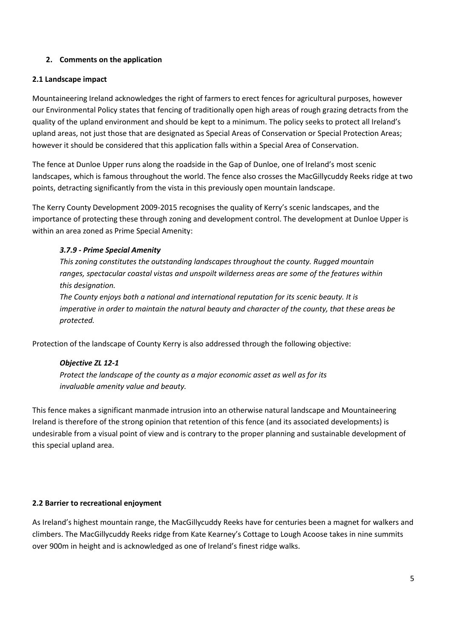## **2. Comments on the application**

### **2.1 Landscape impact**

Mountaineering Ireland acknowledges the right of farmers to erect fences for agricultural purposes, however our Environmental Policy states that fencing of traditionally open high areas of rough grazing detracts from the quality of the upland environment and should be kept to a minimum. The policy seeks to protect all Ireland's upland areas, not just those that are designated as Special Areas of Conservation or Special Protection Areas; however it should be considered that this application falls within a Special Area of Conservation.

The fence at Dunloe Upper runs along the roadside in the Gap of Dunloe, one of Ireland's most scenic landscapes, which is famous throughout the world. The fence also crosses the MacGillycuddy Reeks ridge at two points, detracting significantly from the vista in this previously open mountain landscape.

The Kerry County Development 2009-2015 recognises the quality of Kerry's scenic landscapes, and the importance of protecting these through zoning and development control. The development at Dunloe Upper is within an area zoned as Prime Special Amenity:

## *3.7.9 - Prime Special Amenity*

*This zoning constitutes the outstanding landscapes throughout the county. Rugged mountain ranges, spectacular coastal vistas and unspoilt wilderness areas are some of the features within this designation.* 

*The County enjoys both a national and international reputation for its scenic beauty. It is imperative in order to maintain the natural beauty and character of the county, that these areas be protected.*

Protection of the landscape of County Kerry is also addressed through the following objective:

## *Objective ZL 12-1*

*Protect the landscape of the county as a major economic asset as well as for its invaluable amenity value and beauty.*

This fence makes a significant manmade intrusion into an otherwise natural landscape and Mountaineering Ireland is therefore of the strong opinion that retention of this fence (and its associated developments) is undesirable from a visual point of view and is contrary to the proper planning and sustainable development of this special upland area.

## **2.2 Barrier to recreational enjoyment**

As Ireland's highest mountain range, the MacGillycuddy Reeks have for centuries been a magnet for walkers and climbers. The MacGillycuddy Reeks ridge from Kate Kearney's Cottage to Lough Acoose takes in nine summits over 900m in height and is acknowledged as one of Ireland's finest ridge walks.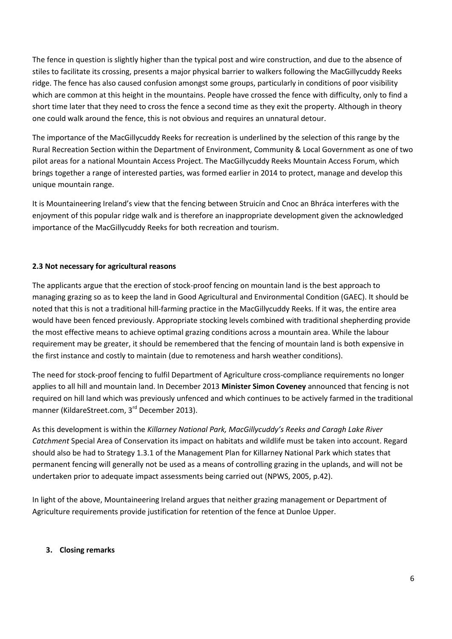The fence in question is slightly higher than the typical post and wire construction, and due to the absence of stiles to facilitate its crossing, presents a major physical barrier to walkers following the MacGillycuddy Reeks ridge. The fence has also caused confusion amongst some groups, particularly in conditions of poor visibility which are common at this height in the mountains. People have crossed the fence with difficulty, only to find a short time later that they need to cross the fence a second time as they exit the property. Although in theory one could walk around the fence, this is not obvious and requires an unnatural detour.

The importance of the MacGillycuddy Reeks for recreation is underlined by the selection of this range by the Rural Recreation Section within the Department of Environment, Community & Local Government as one of two pilot areas for a national Mountain Access Project. The MacGillycuddy Reeks Mountain Access Forum, which brings together a range of interested parties, was formed earlier in 2014 to protect, manage and develop this unique mountain range.

It is Mountaineering Ireland's view that the fencing between Struicín and Cnoc an Bhráca interferes with the enjoyment of this popular ridge walk and is therefore an inappropriate development given the acknowledged importance of the MacGillycuddy Reeks for both recreation and tourism.

## **2.3 Not necessary for agricultural reasons**

The applicants argue that the erection of stock-proof fencing on mountain land is the best approach to managing grazing so as to keep the land in Good Agricultural and Environmental Condition (GAEC). It should be noted that this is not a traditional hill-farming practice in the MacGillycuddy Reeks. If it was, the entire area would have been fenced previously. Appropriate stocking levels combined with traditional shepherding provide the most effective means to achieve optimal grazing conditions across a mountain area. While the labour requirement may be greater, it should be remembered that the fencing of mountain land is both expensive in the first instance and costly to maintain (due to remoteness and harsh weather conditions).

The need for stock-proof fencing to fulfil Department of Agriculture cross-compliance requirements no longer applies to all hill and mountain land. In December 2013 **Minister Simon Coveney** announced that fencing is not required on hill land which was previously unfenced and which continues to be actively farmed in the traditional manner (KildareStreet.com, 3<sup>rd</sup> December 2013).

As this development is within the *Killarney National Park, MacGillycuddy's Reeks and Caragh Lake River Catchment* Special Area of Conservation its impact on habitats and wildlife must be taken into account. Regard should also be had to Strategy 1.3.1 of the Management Plan for Killarney National Park which states that permanent fencing will generally not be used as a means of controlling grazing in the uplands, and will not be undertaken prior to adequate impact assessments being carried out (NPWS, 2005, p.42).

In light of the above, Mountaineering Ireland argues that neither grazing management or Department of Agriculture requirements provide justification for retention of the fence at Dunloe Upper.

## **3. Closing remarks**